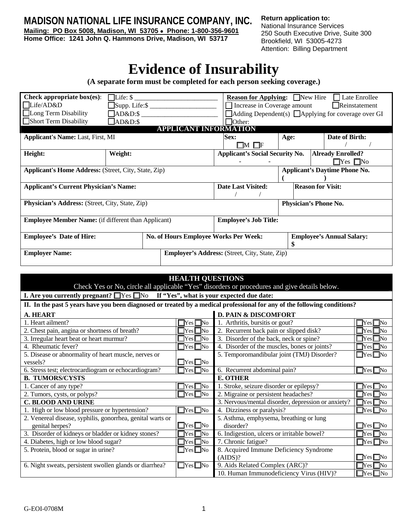**MADISON NATIONAL LIFE INSURANCE COMPANY, INC.**

**Mailing: PO Box 5008, Madison, WI 53705** • **Phone: 1-800-356-9601 Home Office: 1241 John Q. Hammons Drive, Madison, WI 53717** 

**Return application to:**  National Insurance Services 250 South Executive Drive, Suite 300 Brookfield, WI 53005-4273 Attention: Billing Department

## **Evidence of Insurability**

**(A separate form must be completed for each person seeking coverage.)** 

| Check appropriate $box(es)$ :                                            | $\Box$ Life: $\$\$ |                              | <b>Reason for Applying:</b> New Hire                  |                                                                    | Late Enrollee                                                   |  |
|--------------------------------------------------------------------------|--------------------|------------------------------|-------------------------------------------------------|--------------------------------------------------------------------|-----------------------------------------------------------------|--|
| Life/AD&D                                                                |                    |                              | Increase in Coverage amount                           |                                                                    | Reinstatement                                                   |  |
| Long Term Disability<br>$\Box$ AD&D:\$                                   |                    |                              |                                                       |                                                                    | $\Box$ Adding Dependent(s) $\Box$ Applying for coverage over GI |  |
| Short Term Disability                                                    | $AD&D:$ \$         |                              | <b>Other:</b>                                         |                                                                    |                                                                 |  |
|                                                                          |                    | <b>APPLICANT INFORMATION</b> |                                                       |                                                                    |                                                                 |  |
| <b>Applicant's Name: Last, First, MI</b>                                 |                    |                              | <b>Sex:</b>                                           | Age:                                                               | Date of Birth:                                                  |  |
|                                                                          |                    |                              | $\Box M$ $\Box F$                                     |                                                                    |                                                                 |  |
| Height:                                                                  | Weight:            |                              |                                                       | <b>Applicant's Social Security No.</b><br><b>Already Enrolled?</b> |                                                                 |  |
|                                                                          |                    |                              |                                                       | $\Box$ Yes $\Box$ No                                               |                                                                 |  |
| <b>Applicant's Home Address:</b> (Street, City, State, Zip)              |                    |                              |                                                       |                                                                    | <b>Applicant's Daytime Phone No.</b>                            |  |
|                                                                          |                    |                              |                                                       |                                                                    |                                                                 |  |
| <b>Applicant's Current Physician's Name:</b>                             |                    |                              | <b>Date Last Visited:</b>                             | <b>Reason for Visit:</b>                                           |                                                                 |  |
|                                                                          |                    |                              |                                                       |                                                                    |                                                                 |  |
| <b>Physician's Address:</b> (Street, City, State, Zip)                   |                    |                              |                                                       |                                                                    | Physician's Phone No.                                           |  |
|                                                                          |                    |                              |                                                       |                                                                    |                                                                 |  |
| <b>Employee Member Name:</b> (if different than Applicant)               |                    |                              | <b>Employee's Job Title:</b>                          |                                                                    |                                                                 |  |
|                                                                          |                    |                              |                                                       |                                                                    |                                                                 |  |
| <b>Employee's Date of Hire:</b><br>No. of Hours Employee Works Per Week: |                    |                              |                                                       |                                                                    | <b>Employee's Annual Salary:</b>                                |  |
|                                                                          |                    |                              |                                                       |                                                                    |                                                                 |  |
| <b>Employer Name:</b>                                                    |                    |                              | <b>Employer's Address:</b> (Street, City, State, Zip) |                                                                    |                                                                 |  |
|                                                                          |                    |                              |                                                       |                                                                    |                                                                 |  |

| <b>HEALTH QUESTIONS</b>                                                                                                   |                                                    |                                                                    |                      |  |  |
|---------------------------------------------------------------------------------------------------------------------------|----------------------------------------------------|--------------------------------------------------------------------|----------------------|--|--|
| Check Yes or No, circle all applicable "Yes" disorders or procedures and give details below.                              |                                                    |                                                                    |                      |  |  |
| I. Are you currently pregnant? $\Box$ Yes $\Box$ No If "Yes", what is your expected due date:                             |                                                    |                                                                    |                      |  |  |
| II. In the past 5 years have you been diagnosed or treated by a medical professional for any of the following conditions? |                                                    |                                                                    |                      |  |  |
| <b>D. PAIN &amp; DISCOMFORT</b><br>A. HEART                                                                               |                                                    |                                                                    |                      |  |  |
| 1. Heart ailment?                                                                                                         | $\Box$ Yes $\Box$ No                               | 1. Arthritis, bursitis or gout?<br>$\Box$ Yes $\Box$ No            |                      |  |  |
| 2. Chest pain, angina or shortness of breath?                                                                             | $\Box$ Yes $\Box$ No                               | 2. Recurrent back pain or slipped disk?                            | $\Box$ Yes $\Box$ No |  |  |
| 3. Irregular heart beat or heart murmur?                                                                                  | $\Box$ Yes $\Box$ No                               | 3. Disorder of the back, neck or spine?                            | $\Box$ Yes $\Box$ No |  |  |
| 4. Rheumatic fever?                                                                                                       | $\Box$ Yes $\Box$ No                               | 4. Disorder of the muscles, bones or joints?                       | $\Box$ Yes $\Box$ No |  |  |
| 5. Disease or abnormality of heart muscle, nerves or                                                                      |                                                    | 5. Temporomandibular joint (TMJ) Disorder?                         | $\Box$ Yes $\Box$ No |  |  |
| vessels?                                                                                                                  | $\Box$ Yes $\Box$ No                               |                                                                    |                      |  |  |
| 6. Stress test; electrocardiogram or echocardiogram?                                                                      | $\Box$ Yes $\Box$ No                               | $\Box$ Yes $\Box$ No<br>6. Recurrent abdominal pain?               |                      |  |  |
| <b>B. TUMORS/CYSTS</b>                                                                                                    |                                                    | <b>E. OTHER</b>                                                    |                      |  |  |
| $\Box$ Yes $\Box$ No<br>1. Cancer of any type?                                                                            |                                                    | 1. Stroke, seizure disorder or epilepsy?                           | $\Box$ Yes $\Box$ No |  |  |
| 2. Tumors, cysts, or polyps?                                                                                              | $\Box$ Yes $\Box$ No                               | 2. Migraine or persistent headaches?                               | $\Box$ Yes $\Box$ No |  |  |
| <b>C. BLOOD AND URINE</b>                                                                                                 | 3. Nervous/mental disorder, depression or anxiety? | $\Box$ Yes $\Box$ No                                               |                      |  |  |
| $\Box$ Yes $\Box$ No<br>1. High or low blood pressure or hypertension?                                                    |                                                    | 4. Dizziness or paralysis?<br>$\Box$ Yes $\Box$ No                 |                      |  |  |
| 2. Venereal disease, syphilis, gonorrhea, genital warts or                                                                |                                                    | 5. Asthma, emphysema, breathing or lung                            |                      |  |  |
| genital herpes?                                                                                                           | $\Box$ Yes $\Box$ No                               | disorder?                                                          | $\Box$ Yes $\Box$ No |  |  |
| 3. Disorder of kidneys or bladder or kidney stones?<br>$\Box$ Yes $\Box$ No                                               |                                                    | 6. Indigestion, ulcers or irritable bowel?<br>$\Box$ Yes $\Box$ No |                      |  |  |
| 4. Diabetes, high or low blood sugar?<br>$\Box$ Yes $\Box$ No                                                             |                                                    | 7. Chronic fatigue?<br>$\Box$ Yes $\Box$ No                        |                      |  |  |
| 5. Protein, blood or sugar in urine?                                                                                      | $\Box$ Yes $\Box$ No                               | 8. Acquired Immune Deficiency Syndrome                             |                      |  |  |
|                                                                                                                           |                                                    | (AIDS)?                                                            | $\Box$ Yes $\Box$ No |  |  |
| 6. Night sweats, persistent swollen glands or diarrhea?                                                                   | 9. Aids Related Complex (ARC)?                     | $\Box$ Yes $\Box$ No                                               |                      |  |  |
|                                                                                                                           |                                                    | 10. Human Immunodeficiency Virus (HIV)?                            | $\Box$ Yes $\Box$ No |  |  |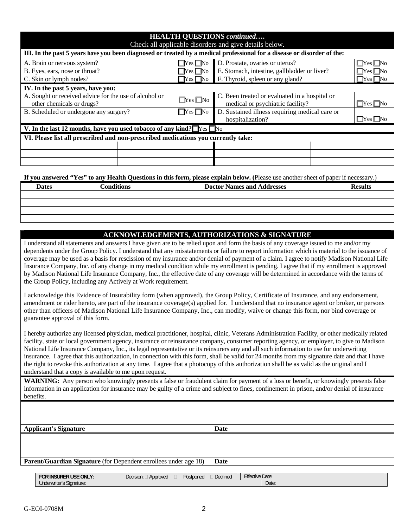| <b>HEALTH QUESTIONS continued</b><br>Check all applicable disorders and give details below.                             |                      |                                                                                                |                        |  |  |
|-------------------------------------------------------------------------------------------------------------------------|----------------------|------------------------------------------------------------------------------------------------|------------------------|--|--|
| III. In the past 5 years have you been diagnosed or treated by a medical professional for a disease or disorder of the: |                      |                                                                                                |                        |  |  |
| A. Brain or nervous system?                                                                                             | $\Box$ Yes $\Box$ No | D. Prostate, ovaries or uterus?                                                                | IYes I No              |  |  |
| B. Eyes, ears, nose or throat?                                                                                          | $\Box$ Yes $\Box$ No | E. Stomach, intestine, gallbladder or liver?                                                   | Yes I                  |  |  |
| C. Skin or lymph nodes?                                                                                                 | $\Box$ Yes $\Box$ No | F. Thyroid, spleen or any gland?                                                               | $\Gamma$ Pes $\Box$ No |  |  |
| IV. In the past 5 years, have you:                                                                                      |                      |                                                                                                |                        |  |  |
| A. Sought or received advice for the use of alcohol or<br>other chemicals or drugs?                                     | $\Box$ Yes $\Box$ No | C. Been treated or evaluated in a hospital or<br>medical or psychiatric facility?<br>_Yes  _No |                        |  |  |
| B. Scheduled or undergone any surgery?                                                                                  | $\Box$ Yes $\Box$ No | D. Sustained illness requiring medical care or<br>hospitalization?                             | – Yes I—No             |  |  |
| V. In the last 12 months, have you used to bacco of any kind? $\Box$ Yes $\Box$ No                                      |                      |                                                                                                |                        |  |  |
| VI. Please list all prescribed and non-prescribed medications you currently take:                                       |                      |                                                                                                |                        |  |  |
|                                                                                                                         |                      |                                                                                                |                        |  |  |
|                                                                                                                         |                      |                                                                                                |                        |  |  |
|                                                                                                                         |                      |                                                                                                |                        |  |  |

**If you answered "Yes" to any Health Questions in this form, please explain below. (**Please use another sheet of paper if necessary.)

| <b>Dates</b> | Conditions | <b>Doctor Names and Addresses</b> | <b>Results</b> |
|--------------|------------|-----------------------------------|----------------|
|              |            |                                   |                |
|              |            |                                   |                |
|              |            |                                   |                |
|              |            |                                   |                |

## **ACKNOWLEDGEMENTS, AUTHORIZATIONS & SIGNATURE**

I understand all statements and answers I have given are to be relied upon and form the basis of any coverage issued to me and/or my dependents under the Group Policy. I understand that any misstatements or failure to report information which is material to the issuance of coverage may be used as a basis for rescission of my insurance and/or denial of payment of a claim. I agree to notify Madison National Life Insurance Company, Inc. of any change in my medical condition while my enrollment is pending. I agree that if my enrollment is approved by Madison National Life Insurance Company, Inc., the effective date of any coverage will be determined in accordance with the terms of the Group Policy, including any Actively at Work requirement.

I acknowledge this Evidence of Insurability form (when approved), the Group Policy, Certificate of Insurance, and any endorsement, amendment or rider hereto, are part of the insurance coverage(s) applied for. I understand that no insurance agent or broker, or persons other than officers of Madison National Life Insurance Company, Inc., can modify, waive or change this form, nor bind coverage or guarantee approval of this form.

I hereby authorize any licensed physician, medical practitioner, hospital, clinic, Veterans Administration Facility, or other medically related facility, state or local government agency, insurance or reinsurance company, consumer reporting agency, or employer, to give to Madison National Life Insurance Company, Inc., its legal representative or its reinsurers any and all such information to use for underwriting insurance. I agree that this authorization, in connection with this form, shall be valid for 24 months from my signature date and that I have the right to revoke this authorization at any time. I agree that a photocopy of this authorization shall be as valid as the original and I understand that a copy is available to me upon request.

**WARNING:** Any person who knowingly presents a false or fraudulent claim for payment of a loss or benefit, or knowingly presents false information in an application for insurance may be guilty of a crime and subject to fines, confinement in prison, and/or denial of insurance benefits.

| <b>Applicant's Signature</b>                                            | <b>Date</b> |
|-------------------------------------------------------------------------|-------------|
|                                                                         |             |
|                                                                         |             |
| <b>Parent/Guardian Signature</b> (for Dependent enrollees under age 18) | Date        |

| ONLY.<br><b>USE</b><br><b>FOR</b><br><b>INSURER</b> | $\sim$<br>Decision:<br>Approved | $\overline{\phantom{a}}$<br>$\sim$<br>Postponed | <b>Declined</b> | <b>Effective Date:</b> |       |
|-----------------------------------------------------|---------------------------------|-------------------------------------------------|-----------------|------------------------|-------|
| $\sim$<br>; Sianature:<br>Underwriter"              |                                 |                                                 |                 |                        | Date: |